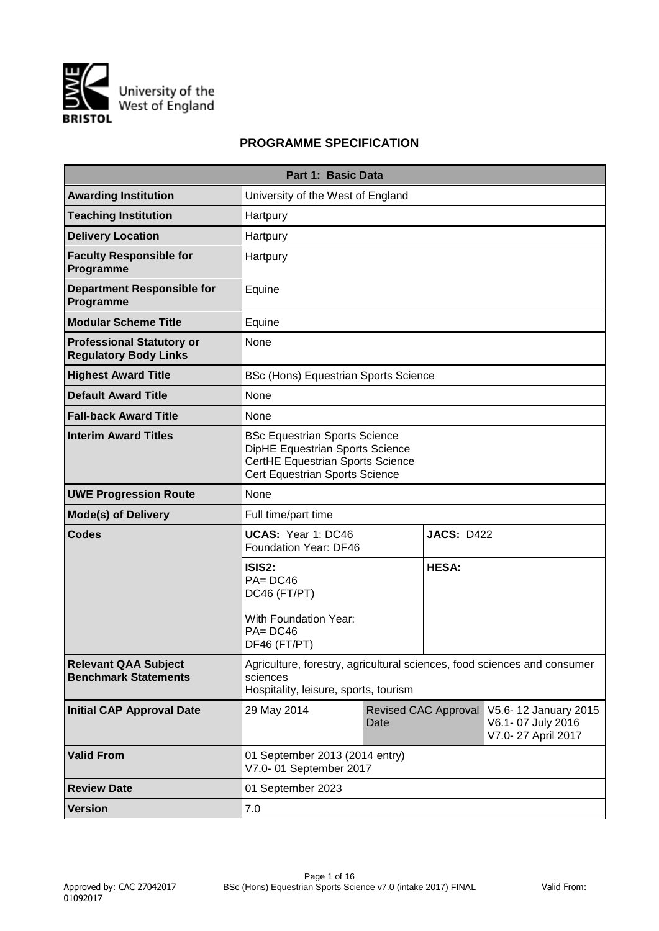

# **PROGRAMME SPECIFICATION**

|                                                                  | Part 1: Basic Data                                                                                                                            |      |                             |                                                                 |  |  |  |  |  |
|------------------------------------------------------------------|-----------------------------------------------------------------------------------------------------------------------------------------------|------|-----------------------------|-----------------------------------------------------------------|--|--|--|--|--|
| <b>Awarding Institution</b>                                      | University of the West of England                                                                                                             |      |                             |                                                                 |  |  |  |  |  |
| <b>Teaching Institution</b>                                      | Hartpury                                                                                                                                      |      |                             |                                                                 |  |  |  |  |  |
| <b>Delivery Location</b>                                         | Hartpury                                                                                                                                      |      |                             |                                                                 |  |  |  |  |  |
| <b>Faculty Responsible for</b><br>Programme                      | Hartpury                                                                                                                                      |      |                             |                                                                 |  |  |  |  |  |
| <b>Department Responsible for</b><br>Programme                   | Equine                                                                                                                                        |      |                             |                                                                 |  |  |  |  |  |
| <b>Modular Scheme Title</b>                                      | Equine                                                                                                                                        |      |                             |                                                                 |  |  |  |  |  |
| <b>Professional Statutory or</b><br><b>Regulatory Body Links</b> | None                                                                                                                                          |      |                             |                                                                 |  |  |  |  |  |
| <b>Highest Award Title</b>                                       | <b>BSc (Hons) Equestrian Sports Science</b>                                                                                                   |      |                             |                                                                 |  |  |  |  |  |
| <b>Default Award Title</b>                                       | None                                                                                                                                          |      |                             |                                                                 |  |  |  |  |  |
| <b>Fall-back Award Title</b>                                     | None                                                                                                                                          |      |                             |                                                                 |  |  |  |  |  |
| <b>Interim Award Titles</b>                                      | <b>BSc Equestrian Sports Science</b><br>DipHE Equestrian Sports Science<br>CertHE Equestrian Sports Science<br>Cert Equestrian Sports Science |      |                             |                                                                 |  |  |  |  |  |
| <b>UWE Progression Route</b>                                     | None                                                                                                                                          |      |                             |                                                                 |  |  |  |  |  |
| <b>Mode(s) of Delivery</b>                                       | Full time/part time                                                                                                                           |      |                             |                                                                 |  |  |  |  |  |
| <b>Codes</b>                                                     | UCAS: Year 1: DC46<br>Foundation Year: DF46                                                                                                   |      | <b>JACS: D422</b>           |                                                                 |  |  |  |  |  |
|                                                                  | ISIS2:<br><b>HESA:</b><br>$PA = DC46$<br>DC46 (FT/PT)<br>With Foundation Year:<br>$PA = DC46$<br>DF46 (FT/PT)                                 |      |                             |                                                                 |  |  |  |  |  |
| <b>Relevant QAA Subject</b><br><b>Benchmark Statements</b>       | Agriculture, forestry, agricultural sciences, food sciences and consumer<br>sciences<br>Hospitality, leisure, sports, tourism                 |      |                             |                                                                 |  |  |  |  |  |
| <b>Initial CAP Approval Date</b>                                 | 29 May 2014                                                                                                                                   | Date | <b>Revised CAC Approval</b> | V5.6-12 January 2015<br>V6.1-07 July 2016<br>V7.0-27 April 2017 |  |  |  |  |  |
| <b>Valid From</b>                                                | 01 September 2013 (2014 entry)<br>V7.0-01 September 2017                                                                                      |      |                             |                                                                 |  |  |  |  |  |
| <b>Review Date</b>                                               | 01 September 2023                                                                                                                             |      |                             |                                                                 |  |  |  |  |  |
| <b>Version</b>                                                   | 7.0                                                                                                                                           |      |                             |                                                                 |  |  |  |  |  |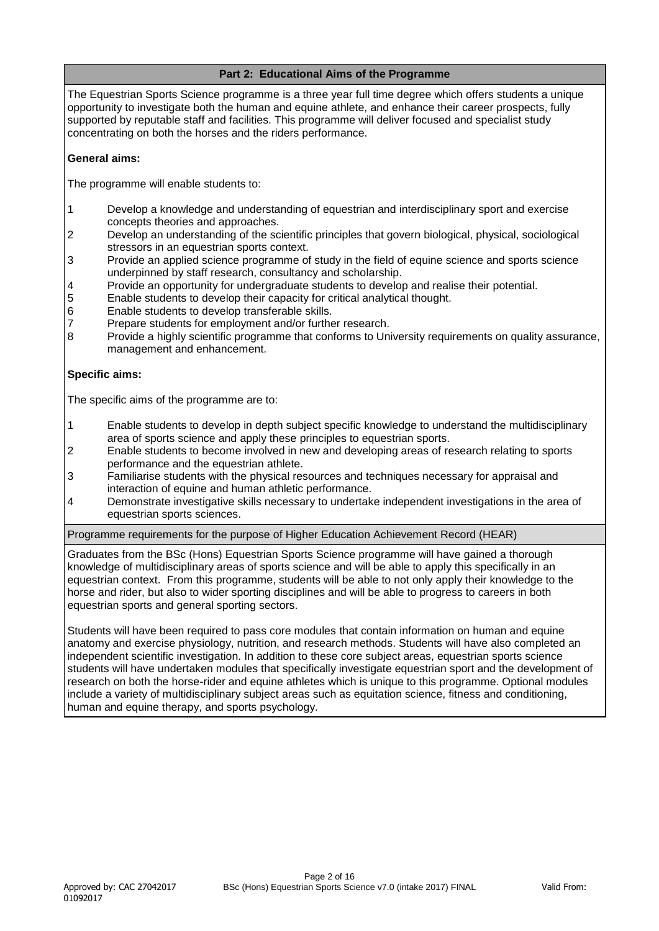# **Part 2: Educational Aims of the Programme**

The Equestrian Sports Science programme is a three year full time degree which offers students a unique opportunity to investigate both the human and equine athlete, and enhance their career prospects, fully supported by reputable staff and facilities. This programme will deliver focused and specialist study concentrating on both the horses and the riders performance.

# **General aims:**

The programme will enable students to:

- 1 Develop a knowledge and understanding of equestrian and interdisciplinary sport and exercise concepts theories and approaches.
- 2 Develop an understanding of the scientific principles that govern biological, physical, sociological stressors in an equestrian sports context.
- 3 Provide an applied science programme of study in the field of equine science and sports science underpinned by staff research, consultancy and scholarship.
- 4 Provide an opportunity for undergraduate students to develop and realise their potential.
- 5 Enable students to develop their capacity for critical analytical thought.
- 6 Enable students to develop transferable skills.
- 7 Prepare students for employment and/or further research.
- 8 Provide a highly scientific programme that conforms to University requirements on quality assurance, management and enhancement.

# **Specific aims:**

The specific aims of the programme are to:

- 1 Enable students to develop in depth subject specific knowledge to understand the multidisciplinary area of sports science and apply these principles to equestrian sports.
- 2 Enable students to become involved in new and developing areas of research relating to sports performance and the equestrian athlete.
- 3 Familiarise students with the physical resources and techniques necessary for appraisal and interaction of equine and human athletic performance.
- 4 Demonstrate investigative skills necessary to undertake independent investigations in the area of equestrian sports sciences.

Programme requirements for the purpose of Higher Education Achievement Record (HEAR)

Graduates from the BSc (Hons) Equestrian Sports Science programme will have gained a thorough knowledge of multidisciplinary areas of sports science and will be able to apply this specifically in an equestrian context. From this programme, students will be able to not only apply their knowledge to the horse and rider, but also to wider sporting disciplines and will be able to progress to careers in both equestrian sports and general sporting sectors.

Students will have been required to pass core modules that contain information on human and equine anatomy and exercise physiology, nutrition, and research methods. Students will have also completed an independent scientific investigation. In addition to these core subject areas, equestrian sports science students will have undertaken modules that specifically investigate equestrian sport and the development of research on both the horse-rider and equine athletes which is unique to this programme. Optional modules include a variety of multidisciplinary subject areas such as equitation science, fitness and conditioning, human and equine therapy, and sports psychology.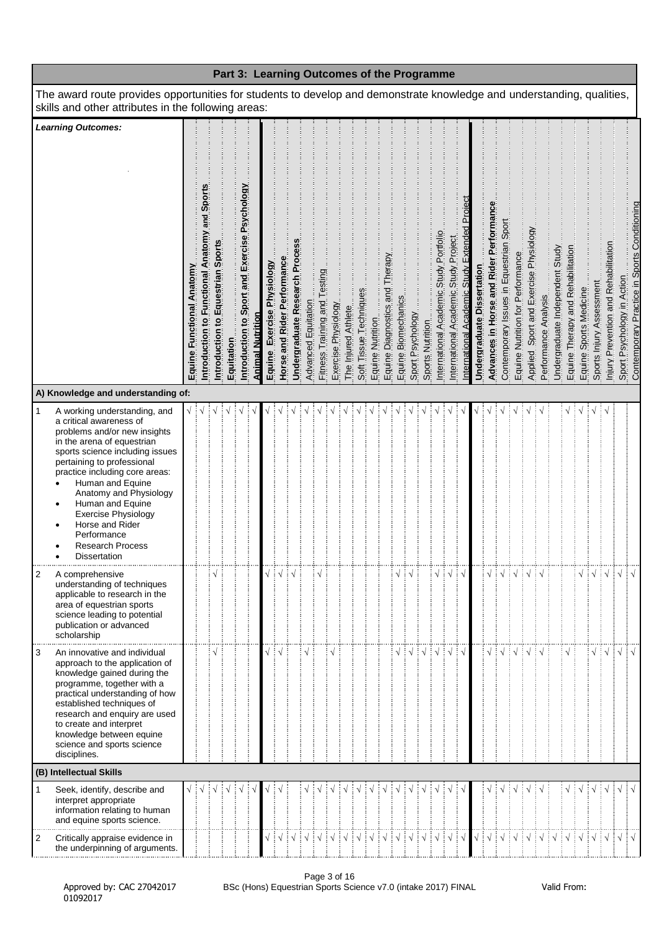|                                                                                                                                                                                                                                                                                                                                                                                                                                    |                           |                                                 |                                   |            |                                               |                         |                            |                             |                               |                     |                              |                     |                     |                        |                  |                                |                     |                  |                  | Part 3: Learning Outcomes of the Programme |                                      |                                              |                            |                                         |                                         |                                  |                                       |                      |                                 |                                   |                        |                                         |                                      |                                  |                                                                            |
|------------------------------------------------------------------------------------------------------------------------------------------------------------------------------------------------------------------------------------------------------------------------------------------------------------------------------------------------------------------------------------------------------------------------------------|---------------------------|-------------------------------------------------|-----------------------------------|------------|-----------------------------------------------|-------------------------|----------------------------|-----------------------------|-------------------------------|---------------------|------------------------------|---------------------|---------------------|------------------------|------------------|--------------------------------|---------------------|------------------|------------------|--------------------------------------------|--------------------------------------|----------------------------------------------|----------------------------|-----------------------------------------|-----------------------------------------|----------------------------------|---------------------------------------|----------------------|---------------------------------|-----------------------------------|------------------------|-----------------------------------------|--------------------------------------|----------------------------------|----------------------------------------------------------------------------|
| The award route provides opportunities for students to develop and demonstrate knowledge and understanding, qualities,<br>skills and other attributes in the following areas:                                                                                                                                                                                                                                                      |                           |                                                 |                                   |            |                                               |                         |                            |                             |                               |                     |                              |                     |                     |                        |                  |                                |                     |                  |                  |                                            |                                      |                                              |                            |                                         |                                         |                                  |                                       |                      |                                 |                                   |                        |                                         |                                      |                                  |                                                                            |
| <b>Learning Outcomes:</b>                                                                                                                                                                                                                                                                                                                                                                                                          | Equine Functional Anatomy | and Sport<br>Introduction to Functional Anatomy | Introduction to Equestrian Sports | Equitation | Introduction to Sport and Exercise Psychology | <b>Animal Nutrition</b> | Equine Exercise Physiology | Horse and Rider Performance | Undergraduate Research Proces | Advanced Equitation | Fitness Training and Testing | Exercise Physiology | The Injured Athlete | Soft Tissue Techniques | Equine Nutrition | Equine Diagnostics and Therapy | Equine Biomechanics | Sport Psychology | Sports Nutrition | International Academic Study Portfolio     | International Academic Study Project | nternational Academic Study Extended Proiect | Undergraduate Dissertation | Advances in Horse and Rider Performance | Contemporary Issues in Equestrian Sport | Equine Nutrition for Performance | Applied Sport and Exercise Physiology | Performance Analysis | Undergraduate Independent Study | Equine Therapy and Rehabilitation | Equine Sports Medicine | Sports Injury Assessment                | Injury Prevention and Rehabilitation |                                  | Sport Psychology in Action<br>Contemporary Practice in Sports Conditioning |
| A) Knowledge and understanding of:                                                                                                                                                                                                                                                                                                                                                                                                 |                           |                                                 |                                   |            |                                               |                         |                            |                             |                               |                     |                              |                     |                     |                        |                  |                                |                     |                  |                  |                                            |                                      |                                              |                            |                                         |                                         |                                  |                                       |                      |                                 |                                   |                        |                                         |                                      |                                  |                                                                            |
| $\mathbf{1}$<br>A working understanding, and<br>a critical awareness of<br>problems and/or new insights<br>in the arena of equestrian<br>sports science including issues<br>pertaining to professional<br>practice including core areas:<br>Human and Equine<br>Anatomy and Physiology<br>Human and Equine<br>$\bullet$<br><b>Exercise Physiology</b><br>Horse and Rider<br>Performance<br><b>Research Process</b><br>Dissertation |                           |                                                 |                                   |            |                                               |                         |                            |                             |                               |                     |                              |                     |                     |                        |                  |                                |                     |                  |                  |                                            |                                      |                                              |                            |                                         |                                         |                                  |                                       |                      |                                 |                                   |                        |                                         |                                      |                                  |                                                                            |
| $\overline{2}$<br>A comprehensive<br>understanding of techniques<br>applicable to research in the<br>area of equestrian sports<br>science leading to potential<br>publication or advanced<br>scholarship                                                                                                                                                                                                                           |                           |                                                 |                                   |            |                                               |                         |                            |                             | ┆√                            |                     |                              |                     |                     |                        |                  |                                |                     |                  |                  |                                            |                                      |                                              |                            |                                         |                                         |                                  |                                       |                      |                                 |                                   |                        |                                         | ┊√                                   | $\cdot$ $\sqrt{\phantom{a}}$ .   |                                                                            |
| 3<br>An innovative and individual<br>approach to the application of<br>knowledge gained during the<br>programme, together with a<br>practical understanding of how<br>established techniques of<br>research and enquiry are used<br>to create and interpret<br>knowledge between equine<br>science and sports science<br>disciplines.                                                                                              |                           |                                                 |                                   |            |                                               |                         |                            |                             |                               |                     |                              |                     |                     |                        |                  |                                |                     |                  |                  |                                            |                                      |                                              |                            |                                         |                                         |                                  |                                       |                      |                                 |                                   |                        |                                         | ાં √                                 | $\sqrt{}$                        |                                                                            |
| (B) Intellectual Skills                                                                                                                                                                                                                                                                                                                                                                                                            |                           |                                                 |                                   |            |                                               |                         |                            |                             |                               |                     |                              |                     |                     |                        |                  |                                |                     |                  |                  |                                            |                                      |                                              |                            |                                         |                                         |                                  |                                       |                      |                                 |                                   |                        |                                         |                                      |                                  |                                                                            |
| 1<br>Seek, identify, describe and<br>interpret appropriate<br>information relating to human<br>and equine sports science.<br>Critically appraise evidence in<br>2                                                                                                                                                                                                                                                                  | √ ∔                       |                                                 |                                   |            |                                               |                         |                            |                             | ┊√                            | $\sqrt{ }$          | ┊√                           | ़ं √                | ┊√                  | ┊√                     | ┊√               | ┊√                             | ┊√                  | ∃√               |                  |                                            |                                      |                                              |                            | ∄√                                      | ┊√                                      | ÷ν                               |                                       |                      | ┊√                              | $\frac{1}{2}$ $\sqrt{2}$          | ÷ν                     | ÷ν<br>$\mathbf{1} \vee \mathbf{1} \vee$ | ÷√                                   | $\sqrt{ \sqrt{2}}$<br>$\sqrt{ }$ |                                                                            |
| the underpinning of arguments.                                                                                                                                                                                                                                                                                                                                                                                                     |                           |                                                 |                                   |            |                                               |                         |                            |                             |                               |                     |                              |                     |                     |                        |                  |                                |                     |                  |                  |                                            |                                      |                                              |                            |                                         |                                         |                                  |                                       |                      |                                 |                                   |                        |                                         |                                      |                                  |                                                                            |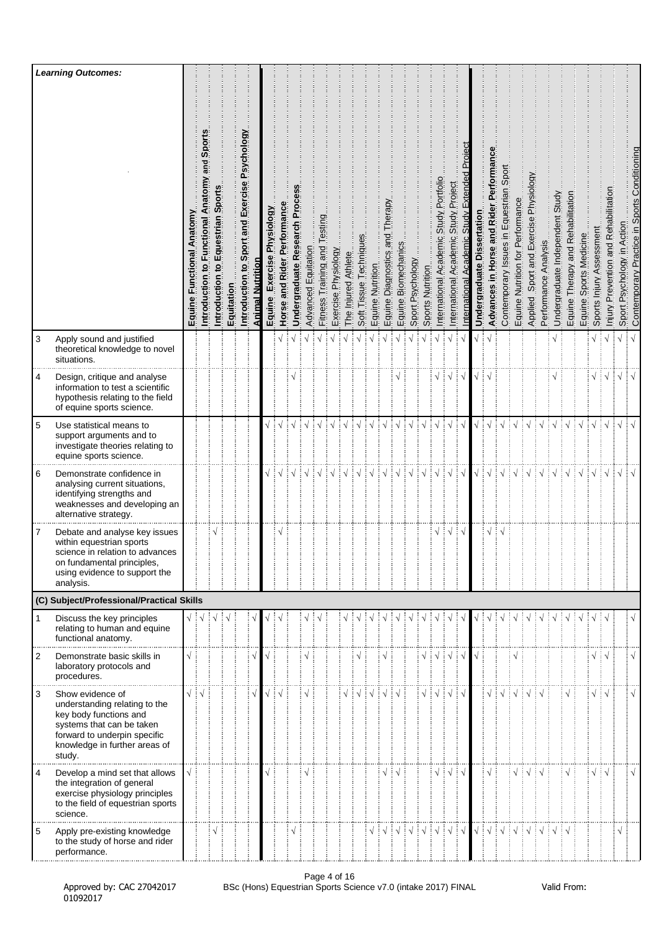|                | <b>Learning Outcomes:</b>                                                                                                                                                           |                           |                                                  |                                          |            |                                               |                  |                               |                                |                             |                     |                                |                     |                     |                        |                  |                                   |                     |                  |                  |                                            |                                            |                                                      |                                  |                                       |                                                         |                                  |                                        |                      |                                    |                                   |                        |                                        |                                      |                               |                                              |
|----------------|-------------------------------------------------------------------------------------------------------------------------------------------------------------------------------------|---------------------------|--------------------------------------------------|------------------------------------------|------------|-----------------------------------------------|------------------|-------------------------------|--------------------------------|-----------------------------|---------------------|--------------------------------|---------------------|---------------------|------------------------|------------------|-----------------------------------|---------------------|------------------|------------------|--------------------------------------------|--------------------------------------------|------------------------------------------------------|----------------------------------|---------------------------------------|---------------------------------------------------------|----------------------------------|----------------------------------------|----------------------|------------------------------------|-----------------------------------|------------------------|----------------------------------------|--------------------------------------|-------------------------------|----------------------------------------------|
|                |                                                                                                                                                                                     | Equine Functional Anatomy | and Sports<br>Introduction to Functional Anatomy | Equestrian Sports<br>إِي<br>Introduction | Equitation | Introduction to Sport and Exercise Psychology | Animal Nutrition | Exercise Physiology<br>Equine | and Rider Performance<br>Horse | Undergraduate Research Proc | Advanced Equitation | esting<br>Fitness Training and | Exercise Physiology | The Injured Athlete | Soft Tissue Techniques | Equine Nutrition | Therapy<br>Equine Diagnostics and | Equine Biomechanics | Sport Psychology | Sports Nutrition | Portfoli<br>Study<br>nternational Academic | Project<br>Study<br>International Academic | Projec<br>Extended<br>Academic Study<br>nternational | ssertation<br>ā<br>Undergraduate | Advances in Horse and Rider Performan | Contemporary Issues in Equestrian Sport                 | Equine Nutrition for Performance | Applied Sport and Exercise Physiology  | Performance Analysis | Undergraduate Independent Study    | Equine Therapy and Rehabilitation | Equine Sports Medicine | Sports Injury Assessment               | Injury Prevention and Rehabilitation | Psychology in Action<br>Sport | Contemporary Practice in Sports Conditioning |
| 3              | Apply sound and justified<br>theoretical knowledge to novel<br>situations.                                                                                                          |                           |                                                  |                                          |            |                                               |                  |                               |                                |                             |                     |                                |                     | $\sqrt{ }$          | $\sqrt{}$              |                  |                                   |                     |                  |                  |                                            |                                            |                                                      |                                  |                                       |                                                         |                                  |                                        |                      |                                    |                                   |                        | $\sqrt{}$                              | ं √                                  | $\sqrt{}$                     | $\sqrt{ }$                                   |
| 4              | Design, critique and analyse<br>information to test a scientific<br>hypothesis relating to the field<br>of equine sports science.                                                   |                           |                                                  |                                          |            |                                               |                  |                               |                                |                             |                     |                                |                     |                     |                        |                  |                                   |                     |                  |                  |                                            | $\sqrt{ }$                                 | ÷√                                                   |                                  |                                       |                                                         |                                  |                                        |                      |                                    |                                   |                        | √ i √                                  |                                      | $\sqrt{}$                     |                                              |
| 5              | Use statistical means to<br>support arguments and to<br>investigate theories relating to<br>equine sports science.                                                                  |                           |                                                  |                                          |            |                                               |                  |                               |                                |                             |                     |                                |                     |                     |                        |                  |                                   |                     |                  |                  |                                            |                                            |                                                      |                                  |                                       |                                                         |                                  |                                        |                      |                                    |                                   |                        |                                        | ┆√                                   | $\sqrt{}$                     | $\sqrt{ }$                                   |
| 6              | Demonstrate confidence in<br>analysing current situations,<br>identifying strengths and<br>weaknesses and developing an<br>alternative strategy.                                    |                           |                                                  |                                          |            |                                               |                  | $\sqrt{2}$                    |                                | ┆√                          | ं√                  | $\sqrt{ }$                     | ∄√                  | ‡√                  | ₩                      | ┊√               | ÷√                                | ∔ √                 | $\sqrt{ }$       | $\sqrt{ }$       | ो √                                        | ‡√                                         | ∄√                                                   | $\sqrt{2}$                       | $\frac{1}{2}$                         | ∃ √                                                     | $\sqrt{ }$                       |                                        |                      |                                    |                                   | $\sqrt{ }$             | $\sqrt{11}$                            |                                      | $\sqrt{}$                     | $\sqrt{ }$                                   |
| 7              | Debate and analyse key issues<br>within equestrian sports<br>science in relation to advances<br>on fundamental principles,<br>using evidence to support the<br>analysis.            |                           |                                                  |                                          |            |                                               |                  |                               | ٦                              |                             |                     |                                |                     |                     |                        |                  |                                   |                     |                  |                  | $\sqrt{}$                                  | ∶√                                         | ÷√                                                   |                                  | $\sqrt{}$                             |                                                         |                                  |                                        |                      |                                    |                                   |                        |                                        |                                      |                               |                                              |
|                | (C) Subject/Professional/Practical Skills                                                                                                                                           |                           |                                                  |                                          |            |                                               |                  |                               |                                |                             |                     |                                |                     |                     |                        |                  |                                   |                     |                  |                  |                                            |                                            |                                                      |                                  |                                       |                                                         |                                  |                                        |                      |                                    |                                   |                        |                                        |                                      |                               |                                              |
| $\mathbf{1}$   | Discuss the key principles<br>relating to human and equine<br>functional anatomy.                                                                                                   | $\sqrt{2}$                |                                                  | $\sqrt{}$                                | $\sqrt{ }$ |                                               |                  |                               |                                |                             |                     |                                |                     |                     |                        |                  |                                   |                     |                  |                  |                                            |                                            |                                                      |                                  |                                       |                                                         |                                  |                                        |                      |                                    |                                   |                        |                                        | ાં √                                 |                               |                                              |
| 2              | Demonstrate basic skills in<br>laboratory protocols and<br>procedures.                                                                                                              | $\sqrt{ }$                |                                                  |                                          |            |                                               |                  |                               |                                |                             |                     |                                |                     |                     |                        |                  |                                   |                     |                  | √∃√              |                                            | ∔√                                         |                                                      |                                  |                                       |                                                         |                                  |                                        |                      |                                    |                                   |                        | $\sqrt{\frac{1}{2}}\sqrt{\frac{1}{2}}$ |                                      |                               | $\sqrt{}$                                    |
| 3              | Show evidence of<br>understanding relating to the<br>key body functions and<br>systems that can be taken<br>forward to underpin specific<br>knowledge in further areas of<br>study. | $\sqrt{2}$                |                                                  |                                          |            |                                               |                  | √∃√                           |                                |                             |                     |                                |                     |                     |                        |                  |                                   |                     |                  | $\sqrt{2}$       |                                            | $\sqrt{ }$                                 | ∶√                                                   |                                  | $\sqrt{ }$                            | $\sqrt{ }$                                              |                                  |                                        |                      |                                    |                                   |                        | √ ∔√                                   |                                      |                               | $\sqrt{}$                                    |
| $\overline{4}$ | Develop a mind set that allows<br>the integration of general<br>exercise physiology principles<br>to the field of equestrian sports<br>science.                                     | $\sqrt{ }$                |                                                  |                                          |            |                                               |                  |                               |                                |                             | V                   |                                |                     |                     |                        |                  | $\sqrt{}$                         |                     |                  |                  | √                                          | ∶√                                         |                                                      |                                  | $\sqrt{}$                             |                                                         | $\sqrt{ }$                       |                                        |                      |                                    |                                   |                        | $\sqrt{2}$                             |                                      |                               | $\sqrt{}$                                    |
| 5              | Apply pre-existing knowledge<br>to the study of horse and rider<br>performance.                                                                                                     |                           |                                                  |                                          |            |                                               |                  |                               |                                |                             |                     |                                |                     |                     |                        |                  |                                   | ┊√                  | $\frac{1}{2}$    | ┊√┊√             |                                            | $\frac{1}{2}$                              | ┊√                                                   | $\sqrt{}$                        |                                       | $\frac{1}{2}$ $\sqrt{\frac{1}{2}}$ $\sqrt{\frac{1}{2}}$ |                                  | $\frac{1}{2}$ $\sqrt{2}$ $\frac{1}{2}$ |                      | $\frac{1}{2}$ $\sqrt{\frac{1}{2}}$ |                                   |                        |                                        |                                      | $\sqrt{}$                     |                                              |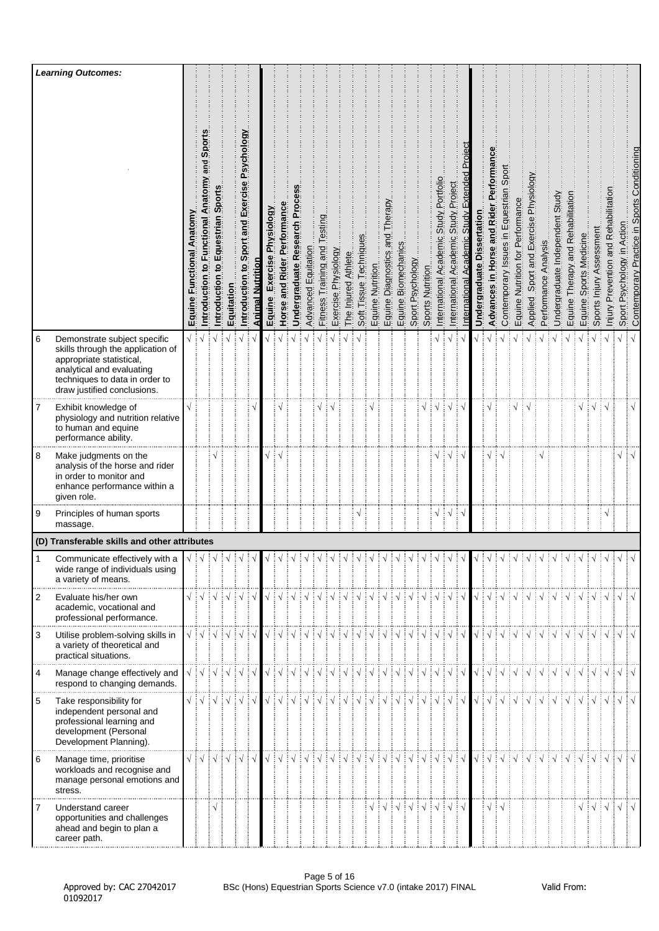|                | <b>Learning Outcomes:</b>                                                                                                                                                                   |                           |                                                                                                                                                                                                                                                                                                                                                                                                                                                                                       |                                        |                                                     |                                               |                  |                                      |                                   |                             |                     |                                |                     |                     |                        |                  |                                     |                         |                                                                                                                                                                                                                                                                                                                                                                                                                                         |                  |                                              |                                                |                                                       |                                  |                                       |                                         |                                  |                                          |                         |                                 |                                   |                                         |                                                                                                                                                                                                                                                                                                                                                                                                                                                                                                                                 |                                                     |                               |                                              |
|----------------|---------------------------------------------------------------------------------------------------------------------------------------------------------------------------------------------|---------------------------|---------------------------------------------------------------------------------------------------------------------------------------------------------------------------------------------------------------------------------------------------------------------------------------------------------------------------------------------------------------------------------------------------------------------------------------------------------------------------------------|----------------------------------------|-----------------------------------------------------|-----------------------------------------------|------------------|--------------------------------------|-----------------------------------|-----------------------------|---------------------|--------------------------------|---------------------|---------------------|------------------------|------------------|-------------------------------------|-------------------------|-----------------------------------------------------------------------------------------------------------------------------------------------------------------------------------------------------------------------------------------------------------------------------------------------------------------------------------------------------------------------------------------------------------------------------------------|------------------|----------------------------------------------|------------------------------------------------|-------------------------------------------------------|----------------------------------|---------------------------------------|-----------------------------------------|----------------------------------|------------------------------------------|-------------------------|---------------------------------|-----------------------------------|-----------------------------------------|---------------------------------------------------------------------------------------------------------------------------------------------------------------------------------------------------------------------------------------------------------------------------------------------------------------------------------------------------------------------------------------------------------------------------------------------------------------------------------------------------------------------------------|-----------------------------------------------------|-------------------------------|----------------------------------------------|
|                |                                                                                                                                                                                             | Equine Functional Anatomy | and Sport<br>Introduction to Functional Anatom                                                                                                                                                                                                                                                                                                                                                                                                                                        | Equestrian Sports<br>ڣ<br>Introduction | Equitation                                          | Introduction to Sport and Exercise Psychology | Animal Nutrition | Exercise Physiology<br><b>Equine</b> | Performance<br>Rider<br>Horse and | Undergraduate Research Proc | Advanced Equitation | esting<br>Fitness Training and | Exercise Physiology | The Injured Athlete | Soft Tissue Techniques | Equine Nutrition | herapy<br>pue<br>Equine Diagnostics | Biomechanics<br>Equine. | Sport Psychology                                                                                                                                                                                                                                                                                                                                                                                                                        | Sports Nutrition | Portfolio<br>Study<br>International Academic | Project<br>Study.<br>Academic<br>International | Proj<br>Extended<br>Study<br>Academic<br>nternational | ssertation<br>ä<br>Undergraduate | Advances in Horse and Rider Performan | Contemporary Issues in Equestrian Sport | Equine Nutrition for Performance | Sport and Exercise Physiology<br>Applied | Analysis<br>Performance | Undergraduate Independent Study | Equine Therapy and Rehabilitation | Sports Medicine<br>Equine <sup>\$</sup> | Assessment<br>Sports Injury                                                                                                                                                                                                                                                                                                                                                                                                                                                                                                     | tation<br>Prevention and Rehabilit<br><u>kiniui</u> | Psychology in Action<br>Sport | Contemporary Practice in Sports Conditioning |
| $\,6\,$        | Demonstrate subject specific<br>skills through the application of<br>appropriate statistical,<br>analytical and evaluating<br>techniques to data in order to<br>draw justified conclusions. | √ ∶                       |                                                                                                                                                                                                                                                                                                                                                                                                                                                                                       |                                        |                                                     | $\sqrt{ }$                                    |                  |                                      |                                   |                             |                     |                                |                     |                     |                        |                  |                                     |                         |                                                                                                                                                                                                                                                                                                                                                                                                                                         |                  |                                              |                                                |                                                       |                                  |                                       |                                         |                                  |                                          |                         |                                 |                                   |                                         |                                                                                                                                                                                                                                                                                                                                                                                                                                                                                                                                 |                                                     | $\sqrt{}$                     |                                              |
| 7              | Exhibit knowledge of<br>physiology and nutrition relative<br>to human and equine<br>performance ability.                                                                                    |                           |                                                                                                                                                                                                                                                                                                                                                                                                                                                                                       |                                        |                                                     |                                               |                  |                                      |                                   |                             |                     | √                              |                     |                     |                        |                  |                                     |                         |                                                                                                                                                                                                                                                                                                                                                                                                                                         |                  | ٦                                            | $\sqrt{ }$                                     |                                                       |                                  |                                       |                                         | $\sqrt{}$                        |                                          |                         |                                 |                                   | $\sqrt{}$                               | ∔√ ∔√                                                                                                                                                                                                                                                                                                                                                                                                                                                                                                                           |                                                     |                               | $\sqrt{}$                                    |
| 8              | Make judgments on the<br>analysis of the horse and rider<br>in order to monitor and<br>enhance performance within a<br>given role.                                                          |                           |                                                                                                                                                                                                                                                                                                                                                                                                                                                                                       |                                        |                                                     |                                               |                  |                                      |                                   |                             |                     |                                |                     |                     |                        |                  |                                     |                         |                                                                                                                                                                                                                                                                                                                                                                                                                                         |                  |                                              |                                                |                                                       |                                  |                                       |                                         |                                  |                                          |                         |                                 |                                   |                                         |                                                                                                                                                                                                                                                                                                                                                                                                                                                                                                                                 |                                                     | $\sqrt{}$                     |                                              |
| 9              | Principles of human sports<br>massage.                                                                                                                                                      |                           |                                                                                                                                                                                                                                                                                                                                                                                                                                                                                       |                                        |                                                     |                                               |                  |                                      |                                   |                             |                     |                                |                     |                     | $\sqrt{}$              |                  |                                     |                         |                                                                                                                                                                                                                                                                                                                                                                                                                                         |                  | $\sqrt{}$                                    | ┆√                                             | ÷√                                                    |                                  |                                       |                                         |                                  |                                          |                         |                                 |                                   |                                         |                                                                                                                                                                                                                                                                                                                                                                                                                                                                                                                                 | $\sqrt{}$                                           |                               |                                              |
|                | (D) Transferable skills and other attributes                                                                                                                                                |                           |                                                                                                                                                                                                                                                                                                                                                                                                                                                                                       |                                        |                                                     |                                               |                  |                                      |                                   |                             |                     |                                |                     |                     |                        |                  |                                     |                         |                                                                                                                                                                                                                                                                                                                                                                                                                                         |                  |                                              |                                                |                                                       |                                  |                                       |                                         |                                  |                                          |                         |                                 |                                   |                                         |                                                                                                                                                                                                                                                                                                                                                                                                                                                                                                                                 |                                                     |                               |                                              |
|                | Communicate effectively with a<br>wide range of individuals using<br>a variety of means.                                                                                                    |                           |                                                                                                                                                                                                                                                                                                                                                                                                                                                                                       |                                        | $\downarrow$ $\downarrow$ $\downarrow$ $\downarrow$ |                                               |                  | $\sqrt{ }$                           |                                   |                             |                     |                                | $\frac{1}{2}$       |                     | $\frac{1}{2}$          | $\frac{1}{2}$    |                                     | $\frac{1}{2}$           | $\frac{1}{2}$                                                                                                                                                                                                                                                                                                                                                                                                                           | $\frac{1}{2}$    | $\frac{1}{2}$                                |                                                |                                                       |                                  |                                       |                                         |                                  | $\frac{1}{2}$                            |                         | $\frac{1}{2}$                   | $\frac{1}{2}$                     | $\frac{1}{2}$                           | $\frac{1}{2}$                                                                                                                                                                                                                                                                                                                                                                                                                                                                                                                   |                                                     |                               |                                              |
| $\overline{2}$ | Evaluate his/her own<br>academic, vocational and<br>professional performance.                                                                                                               |                           | $\sqrt{2}$ $\sqrt{2}$ $\sqrt{2}$ $\sqrt{2}$ $\sqrt{2}$ $\sqrt{2}$ $\sqrt{2}$ $\sqrt{2}$ $\sqrt{2}$ $\sqrt{2}$ $\sqrt{2}$                                                                                                                                                                                                                                                                                                                                                              |                                        |                                                     |                                               |                  |                                      |                                   |                             |                     |                                |                     |                     |                        |                  |                                     |                         |                                                                                                                                                                                                                                                                                                                                                                                                                                         |                  |                                              |                                                |                                                       |                                  |                                       |                                         |                                  |                                          |                         |                                 |                                   |                                         |                                                                                                                                                                                                                                                                                                                                                                                                                                                                                                                                 |                                                     | $\sqrt{ \sqrt{2}}$            |                                              |
| 3              | Utilise problem-solving skills in<br>a variety of theoretical and<br>practical situations.                                                                                                  |                           | $\begin{array}{c} \sqrt{\frac{1}{2}} \sqrt{\frac{1}{2}} \sqrt{\frac{1}{2}} \sqrt{\frac{1}{2}} \sqrt{\frac{1}{2}} \sqrt{\frac{1}{2}} \sqrt{\frac{1}{2}} \sqrt{\frac{1}{2}} \sqrt{\frac{1}{2}} \sqrt{\frac{1}{2}} \sqrt{\frac{1}{2}} \sqrt{\frac{1}{2}} \sqrt{\frac{1}{2}} \sqrt{\frac{1}{2}} \sqrt{\frac{1}{2}} \sqrt{\frac{1}{2}} \sqrt{\frac{1}{2}} \sqrt{\frac{1}{2}} \sqrt{\frac{1}{2}} \sqrt{\frac{1}{2}} \sqrt{\frac{1}{2}} \sqrt{\frac{1}{2}} \sqrt{\frac{1}{2}} \sqrt{\frac{1$ |                                        |                                                     |                                               |                  |                                      |                                   |                             |                     |                                |                     |                     |                        |                  |                                     |                         |                                                                                                                                                                                                                                                                                                                                                                                                                                         |                  |                                              |                                                |                                                       |                                  |                                       |                                         |                                  |                                          |                         |                                 |                                   |                                         | $\begin{array}{c} \begin{array}{c} \sqrt{3} \end{array} \end{array} \begin{array}{c} \begin{array}{c} \sqrt{3} \end{array} \end{array} \begin{array}{c} \begin{array}{c} \sqrt{3} \end{array} \end{array} \begin{array}{c} \begin{array}{c} \sqrt{3} \end{array} \end{array} \begin{array}{c} \begin{array}{c} \sqrt{3} \end{array} \end{array} \begin{array}{c} \begin{array}{c} \sqrt{3} \end{array} \end{array} \begin{array}{c} \begin{array}{c} \sqrt{3} \end{array} \end{array} \begin{array}{c} \begin{array}{c} \sqrt{$ |                                                     | $\sqrt{ \sqrt{25}}$           |                                              |
| $\overline{4}$ | Manage change effectively and<br>respond to changing demands.                                                                                                                               |                           | $\begin{array}{c} \sqrt{\phantom{a}} : \sqrt{\phantom{a}} : \sqrt{\phantom{a}} : \sqrt{\phantom{a}} : \sqrt{\phantom{a}} : \sqrt{\phantom{a}} \end{array}$                                                                                                                                                                                                                                                                                                                            |                                        |                                                     |                                               |                  |                                      |                                   |                             |                     |                                |                     |                     |                        |                  |                                     |                         |                                                                                                                                                                                                                                                                                                                                                                                                                                         |                  |                                              |                                                |                                                       |                                  |                                       |                                         |                                  |                                          |                         |                                 |                                   |                                         | $\begin{array}{c} \begin{array}{c} \mathbf{1} \end{array} & \begin{array}{c} \mathbf{1} \end{array} & \begin{array}{c} \mathbf{1} \end{array} & \begin{array}{c} \mathbf{1} \end{array} & \begin{array}{c} \mathbf{1} \end{array} & \begin{array}{c} \mathbf{1} \end{array} & \begin{array}{c} \mathbf{1} \end{array} & \begin{array}{c} \mathbf{1} \end{array} & \begin{array}{c} \mathbf{1} \end{array} & \begin{array}{c} \mathbf{1} \end{array} & \begin{array}{c} \mathbf{1} \end{array} & \begin{array$                   |                                                     | $\sqrt{ \sqrt{2}}$            |                                              |
| 5              | Take responsibility for<br>independent personal and<br>professional learning and<br>development (Personal<br>Development Planning).                                                         |                           | $\sqrt{\frac{1}{2}}\sqrt{\frac{1}{2}}\sqrt{\frac{1}{2}}\sqrt{\frac{1}{2}}\sqrt{\frac{1}{2}}\sqrt{\frac{1}{2}}$                                                                                                                                                                                                                                                                                                                                                                        |                                        |                                                     |                                               |                  |                                      |                                   |                             |                     |                                |                     |                     |                        |                  |                                     |                         |                                                                                                                                                                                                                                                                                                                                                                                                                                         |                  |                                              |                                                |                                                       |                                  |                                       |                                         |                                  |                                          |                         |                                 |                                   |                                         |                                                                                                                                                                                                                                                                                                                                                                                                                                                                                                                                 |                                                     | $\sqrt{ \sqrt{2}}$            |                                              |
| 6              | Manage time, prioritise<br>workloads and recognise and<br>manage personal emotions and<br>stress.                                                                                           | $\sqrt{ }$                |                                                                                                                                                                                                                                                                                                                                                                                                                                                                                       | $\sqrt{ \sqrt{2}}$                     | $\sqrt{ }$                                          | $\sqrt{ }$                                    | $\sqrt{ }$       |                                      |                                   |                             |                     |                                |                     |                     |                        |                  |                                     |                         | $\begin{array}{c} \begin{array}{c} \sqrt{3} & \sqrt{3} & \sqrt{3} & \sqrt{3} \\ \sqrt{3} & \sqrt{3} & \sqrt{3} & \sqrt{3} \\ \sqrt{3} & \sqrt{3} & \sqrt{3} & \sqrt{3} \\ \sqrt{3} & \sqrt{3} & \sqrt{3} & \sqrt{3} \\ \sqrt{3} & \sqrt{3} & \sqrt{3} & \sqrt{3} \\ \sqrt{3} & \sqrt{3} & \sqrt{3} & \sqrt{3} \\ \sqrt{3} & \sqrt{3} & \sqrt{3} & \sqrt{3} \\ \sqrt{3} & \sqrt{3} & \sqrt{3} & \sqrt{3} \\ \sqrt{3} & \sqrt{3} & \sqrt$ |                  |                                              |                                                |                                                       |                                  |                                       |                                         |                                  |                                          |                         |                                 |                                   |                                         | $\sqrt{2}$                                                                                                                                                                                                                                                                                                                                                                                                                                                                                                                      |                                                     | $\sqrt{d}$                    |                                              |
| 7              | Understand career<br>opportunities and challenges<br>ahead and begin to plan a<br>career path.                                                                                              |                           |                                                                                                                                                                                                                                                                                                                                                                                                                                                                                       | $\sqrt{ }$                             |                                                     |                                               |                  |                                      |                                   |                             |                     |                                |                     |                     |                        |                  |                                     |                         | VIVIVIVIVIVI                                                                                                                                                                                                                                                                                                                                                                                                                            |                  |                                              |                                                |                                                       |                                  | $\sqrt{2}$                            |                                         |                                  |                                          |                         |                                 |                                   |                                         | $\sqrt{\frac{1}{2}}\sqrt{\frac{1}{2}}\sqrt{\frac{1}{2}}$                                                                                                                                                                                                                                                                                                                                                                                                                                                                        |                                                     | $\sqrt{ \sqrt{2}}$            |                                              |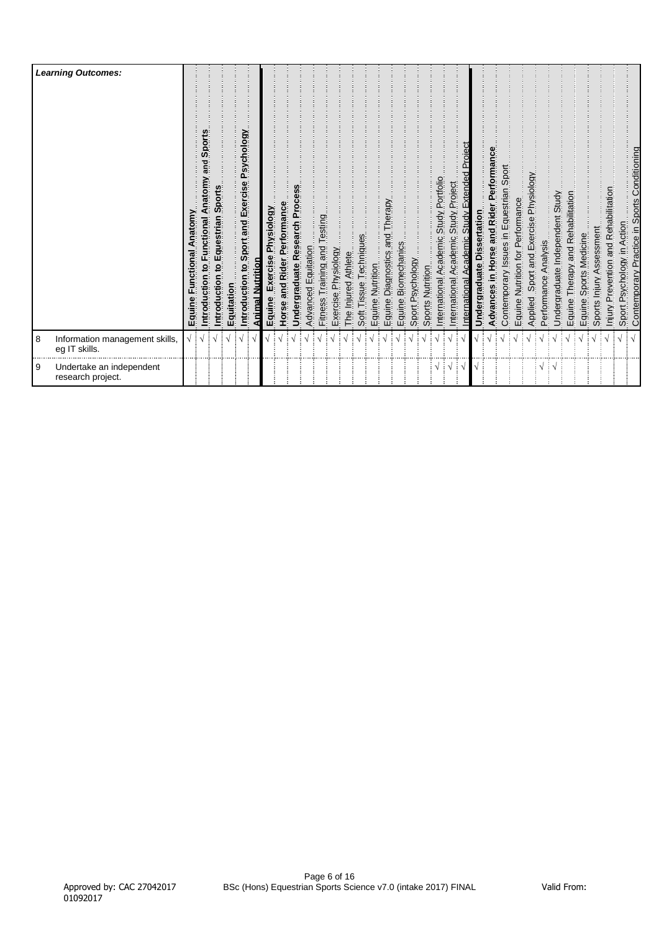|          | <b>Learning Outcomes:</b>                       | Anatomy<br>unctional<br>ц<br>Equine | Sport<br>pue<br>Anatomy<br>ntroduction to Functional | ntroduction to Equestrian Sports | Equitation | Psychology<br>Introduction to Sport and Exercise | <u>Animal Nutrition</u> | Exercise Physiology<br>Equine | Performance<br>and Rider<br>Horse | Undergraduate Research Process | Advanced Equitation | Testing<br>pue<br>Training<br>Fitness <sup>-</sup> | Exercise Physiology | Athlete<br>The Injured | Techniques<br>Soft Tissue | Equine Nutrition | Diagnostics and Therapy<br>Diagnostics and Therapy<br>Equine | Biomechanics<br>Equine. | Sport Psychology | Sports Nutrition | Academic Study Portfolio<br>International | Study Project<br>Academic<br>International | Study Extended Project<br>Academic<br>nternational | ssertation<br>ة<br>Undergraduate | Advances in Horse and Rider Performance | Contemporary Issues in Equestrian Sport | Nutrition for Performance<br>Equine. | Applied Sport and Exercise Physiology | Analysis<br>Performance | Undergraduate Independent Study | Therapy and Rehabilitation<br>Equine | Sports Medicine<br>Equine | Assessment<br>Sports Injury | Injury Prevention and Rehabilitation | Sport Psychology in Action | Contemporary Practice in Sports Conditioning |
|----------|-------------------------------------------------|-------------------------------------|------------------------------------------------------|----------------------------------|------------|--------------------------------------------------|-------------------------|-------------------------------|-----------------------------------|--------------------------------|---------------------|----------------------------------------------------|---------------------|------------------------|---------------------------|------------------|--------------------------------------------------------------|-------------------------|------------------|------------------|-------------------------------------------|--------------------------------------------|----------------------------------------------------|----------------------------------|-----------------------------------------|-----------------------------------------|--------------------------------------|---------------------------------------|-------------------------|---------------------------------|--------------------------------------|---------------------------|-----------------------------|--------------------------------------|----------------------------|----------------------------------------------|
| 8        | Information management skills,<br>eg IT skills. |                                     |                                                      |                                  |            |                                                  |                         |                               |                                   |                                |                     |                                                    |                     |                        |                           |                  |                                                              |                         |                  |                  |                                           |                                            |                                                    |                                  |                                         |                                         |                                      |                                       |                         |                                 |                                      |                           |                             |                                      |                            |                                              |
| <b>9</b> | Undertake an independent<br>research project.   |                                     |                                                      |                                  |            |                                                  |                         |                               |                                   |                                |                     |                                                    |                     |                        |                           |                  |                                                              |                         |                  |                  | $\sqrt{\frac{1}{2}}\sqrt{\frac{1}{2}}$    | ा √                                        |                                                    |                                  |                                         |                                         |                                      |                                       | $\sqrt{ }$              | $\vdots \vee$                   |                                      |                           |                             |                                      |                            |                                              |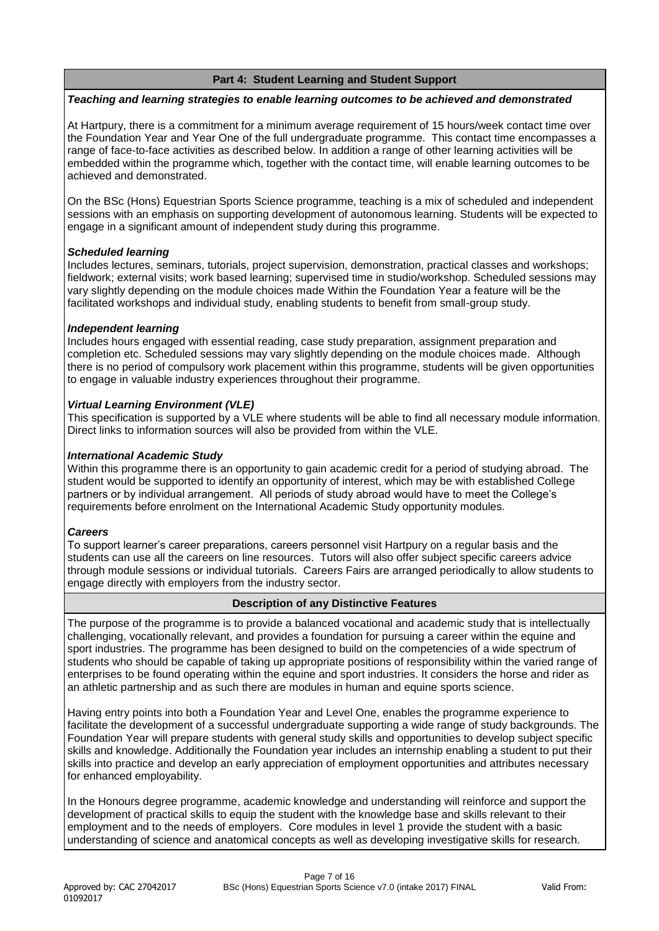# **Part 4: Student Learning and Student Support**

#### *Teaching and learning strategies to enable learning outcomes to be achieved and demonstrated*

At Hartpury, there is a commitment for a minimum average requirement of 15 hours/week contact time over the Foundation Year and Year One of the full undergraduate programme. This contact time encompasses a range of face-to-face activities as described below. In addition a range of other learning activities will be embedded within the programme which, together with the contact time, will enable learning outcomes to be achieved and demonstrated.

On the BSc (Hons) Equestrian Sports Science programme, teaching is a mix of scheduled and independent sessions with an emphasis on supporting development of autonomous learning. Students will be expected to engage in a significant amount of independent study during this programme.

# *Scheduled learning*

Includes lectures, seminars, tutorials, project supervision, demonstration, practical classes and workshops; fieldwork; external visits; work based learning; supervised time in studio/workshop. Scheduled sessions may vary slightly depending on the module choices made Within the Foundation Year a feature will be the facilitated workshops and individual study, enabling students to benefit from small-group study.

# *Independent learning*

Includes hours engaged with essential reading, case study preparation, assignment preparation and completion etc. Scheduled sessions may vary slightly depending on the module choices made. Although there is no period of compulsory work placement within this programme, students will be given opportunities to engage in valuable industry experiences throughout their programme.

# *Virtual Learning Environment (VLE)*

This specification is supported by a VLE where students will be able to find all necessary module information. Direct links to information sources will also be provided from within the VLE.

# *International Academic Study*

Within this programme there is an opportunity to gain academic credit for a period of studying abroad. The student would be supported to identify an opportunity of interest, which may be with established College partners or by individual arrangement. All periods of study abroad would have to meet the College's requirements before enrolment on the International Academic Study opportunity modules.

#### *Careers*

To support learner's career preparations, careers personnel visit Hartpury on a regular basis and the students can use all the careers on line resources. Tutors will also offer subject specific careers advice through module sessions or individual tutorials. Careers Fairs are arranged periodically to allow students to engage directly with employers from the industry sector.

# **Description of any Distinctive Features**

The purpose of the programme is to provide a balanced vocational and academic study that is intellectually challenging, vocationally relevant, and provides a foundation for pursuing a career within the equine and sport industries. The programme has been designed to build on the competencies of a wide spectrum of students who should be capable of taking up appropriate positions of responsibility within the varied range of enterprises to be found operating within the equine and sport industries. It considers the horse and rider as an athletic partnership and as such there are modules in human and equine sports science.

Having entry points into both a Foundation Year and Level One, enables the programme experience to facilitate the development of a successful undergraduate supporting a wide range of study backgrounds. The Foundation Year will prepare students with general study skills and opportunities to develop subject specific skills and knowledge. Additionally the Foundation year includes an internship enabling a student to put their skills into practice and develop an early appreciation of employment opportunities and attributes necessary for enhanced employability.

In the Honours degree programme, academic knowledge and understanding will reinforce and support the development of practical skills to equip the student with the knowledge base and skills relevant to their employment and to the needs of employers. Core modules in level 1 provide the student with a basic understanding of science and anatomical concepts as well as developing investigative skills for research.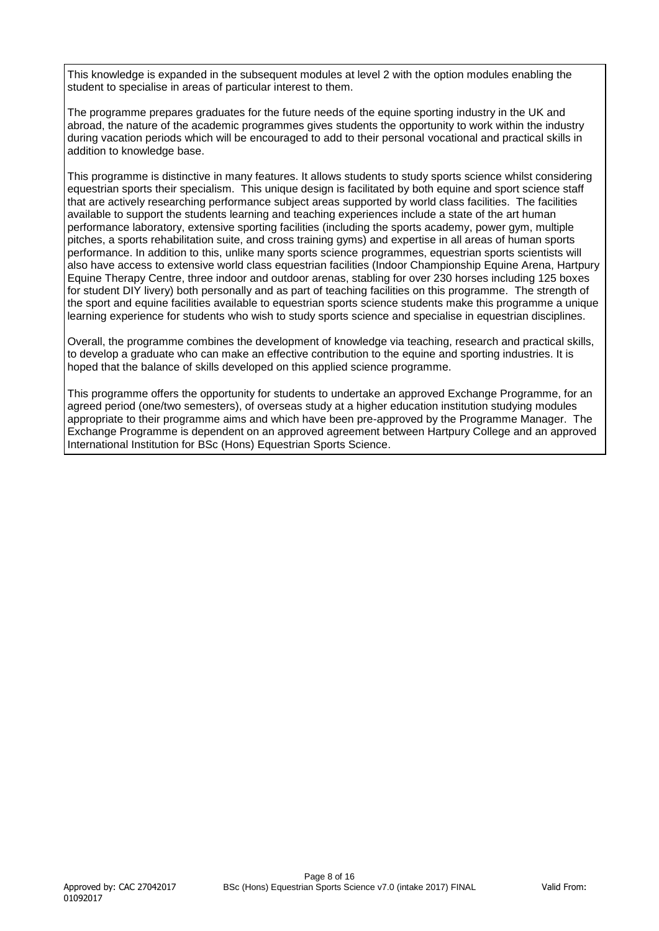This knowledge is expanded in the subsequent modules at level 2 with the option modules enabling the student to specialise in areas of particular interest to them.

The programme prepares graduates for the future needs of the equine sporting industry in the UK and abroad, the nature of the academic programmes gives students the opportunity to work within the industry during vacation periods which will be encouraged to add to their personal vocational and practical skills in addition to knowledge base.

This programme is distinctive in many features. It allows students to study sports science whilst considering equestrian sports their specialism. This unique design is facilitated by both equine and sport science staff that are actively researching performance subject areas supported by world class facilities. The facilities available to support the students learning and teaching experiences include a state of the art human performance laboratory, extensive sporting facilities (including the sports academy, power gym, multiple pitches, a sports rehabilitation suite, and cross training gyms) and expertise in all areas of human sports performance. In addition to this, unlike many sports science programmes, equestrian sports scientists will also have access to extensive world class equestrian facilities (Indoor Championship Equine Arena, Hartpury Equine Therapy Centre, three indoor and outdoor arenas, stabling for over 230 horses including 125 boxes for student DIY livery) both personally and as part of teaching facilities on this programme. The strength of the sport and equine facilities available to equestrian sports science students make this programme a unique learning experience for students who wish to study sports science and specialise in equestrian disciplines.

Overall, the programme combines the development of knowledge via teaching, research and practical skills, to develop a graduate who can make an effective contribution to the equine and sporting industries. It is hoped that the balance of skills developed on this applied science programme.

This programme offers the opportunity for students to undertake an approved Exchange Programme, for an agreed period (one/two semesters), of overseas study at a higher education institution studying modules appropriate to their programme aims and which have been pre-approved by the Programme Manager. The Exchange Programme is dependent on an approved agreement between Hartpury College and an approved International Institution for BSc (Hons) Equestrian Sports Science.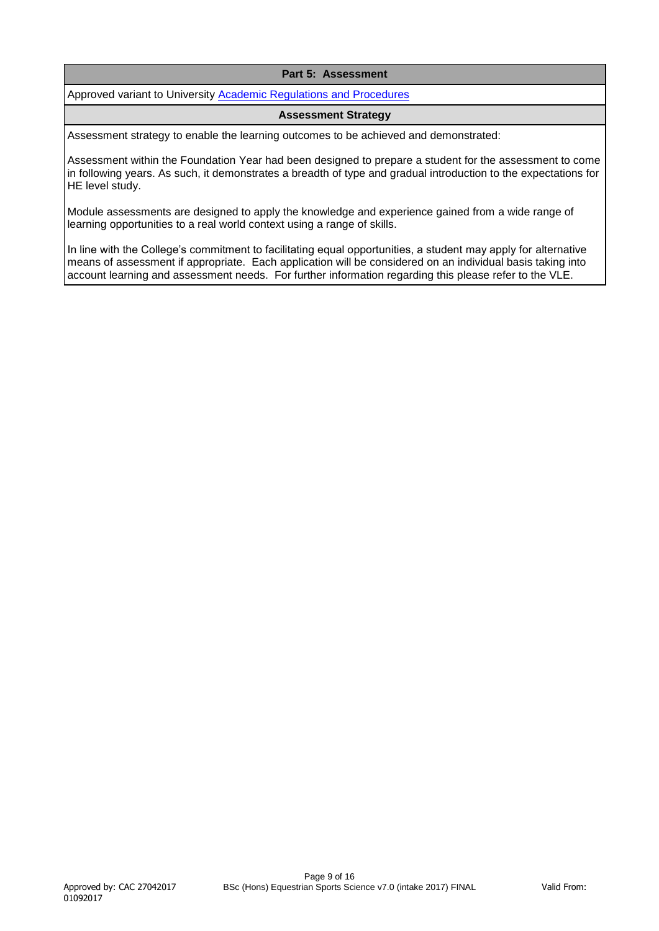# **Part 5: Assessment**

Approved variant to University [Academic Regulations and Procedures](http://www1.uwe.ac.uk/students/academicadvice/assessments/regulationsandprocedures.aspx)

#### **Assessment Strategy**

Assessment strategy to enable the learning outcomes to be achieved and demonstrated:

Assessment within the Foundation Year had been designed to prepare a student for the assessment to come in following years. As such, it demonstrates a breadth of type and gradual introduction to the expectations for HE level study.

Module assessments are designed to apply the knowledge and experience gained from a wide range of learning opportunities to a real world context using a range of skills.

In line with the College's commitment to facilitating equal opportunities, a student may apply for alternative means of assessment if appropriate. Each application will be considered on an individual basis taking into account learning and assessment needs. For further information regarding this please refer to the VLE.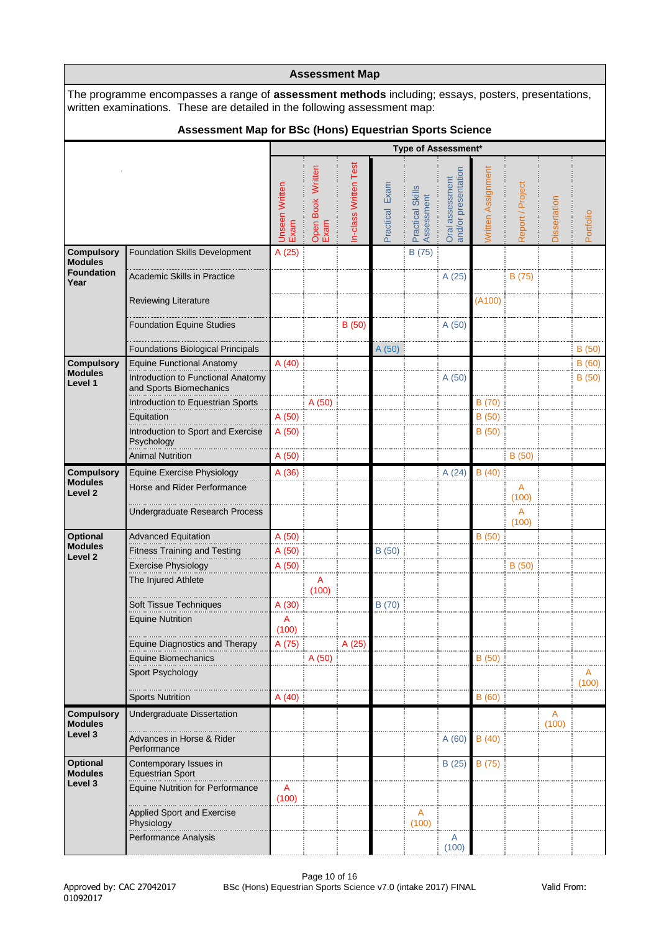|                                                           |                                                                                                                                                                                        |                               |                           | <b>Assessment Map</b> |                |                                |                                        |                    |                  |                     |            |
|-----------------------------------------------------------|----------------------------------------------------------------------------------------------------------------------------------------------------------------------------------------|-------------------------------|---------------------------|-----------------------|----------------|--------------------------------|----------------------------------------|--------------------|------------------|---------------------|------------|
|                                                           | The programme encompasses a range of <b>assessment methods</b> including; essays, posters, presentations,<br>written examinations. These are detailed in the following assessment map: |                               |                           |                       |                |                                |                                        |                    |                  |                     |            |
|                                                           | Assessment Map for BSc (Hons) Equestrian Sports Science                                                                                                                                |                               |                           |                       |                |                                |                                        |                    |                  |                     |            |
|                                                           |                                                                                                                                                                                        |                               |                           |                       |                | Type of Assessment*            |                                        |                    |                  |                     |            |
|                                                           |                                                                                                                                                                                        | <b>Jnseen Written</b><br>Exam | Open Book Written<br>Exam | n-class Written Test  | Practical Exam | Practical Skills<br>Assessment | Oral assessment<br>and/or presentation | Written Assignment | Report / Project | <b>Dissertation</b> | Portfolio  |
| <b>Compulsory</b><br><b>Modules</b>                       | <b>Foundation Skills Development</b>                                                                                                                                                   | A(25)                         |                           |                       |                | B (75)                         |                                        |                    |                  |                     |            |
| <b>Foundation</b><br>Year                                 | Academic Skills in Practice                                                                                                                                                            |                               |                           |                       |                |                                | A (25)                                 |                    | B (75)           |                     |            |
|                                                           | Reviewing Literature                                                                                                                                                                   |                               |                           |                       |                |                                |                                        | (A100)             |                  |                     |            |
|                                                           | <b>Foundation Equine Studies</b>                                                                                                                                                       |                               |                           | B(50)                 |                |                                | A(50)                                  |                    |                  |                     |            |
|                                                           | <b>Foundations Biological Principals</b>                                                                                                                                               |                               |                           |                       | A(50)          |                                |                                        |                    |                  |                     | B(50)      |
| <b>Compulsory</b><br><b>Modules</b>                       | <b>Equine Functional Anatomy</b>                                                                                                                                                       | A(40)                         |                           |                       |                |                                |                                        |                    |                  |                     | B (60)     |
| Level 1                                                   | Introduction to Functional Anatomy<br>and Sports Biomechanics<br>Introduction to Equestrian Sports                                                                                     |                               | A (50)                    |                       |                |                                | A(50)                                  | B (70)             |                  |                     | B(50)      |
|                                                           | Equitation                                                                                                                                                                             | A(50)                         |                           |                       |                |                                |                                        | B(50)              |                  |                     |            |
|                                                           | Introduction to Sport and Exercise<br>Psychology                                                                                                                                       | A(50)                         |                           |                       |                |                                |                                        | B(50)              |                  |                     |            |
|                                                           | <b>Animal Nutrition</b>                                                                                                                                                                | A (50)                        |                           |                       |                |                                |                                        |                    | B(50)            |                     |            |
| <b>Compulsory</b><br><b>Modules</b><br>Level <sub>2</sub> | <b>Equine Exercise Physiology</b><br>Horse and Rider Performance                                                                                                                       | A (36)                        |                           |                       |                |                                | A(24)                                  | B(40)              | A<br>(100)       |                     |            |
|                                                           | Undergraduate Research Process                                                                                                                                                         |                               |                           |                       |                |                                |                                        |                    | A<br>(100)       |                     |            |
| Optional<br><b>Modules</b>                                | <b>Advanced Equitation</b>                                                                                                                                                             | A(50)                         |                           |                       |                |                                |                                        | B(50)              |                  |                     |            |
| Level 2                                                   | <b>Fitness Training and Testing</b>                                                                                                                                                    | A (50)                        |                           |                       | B(50)          |                                |                                        |                    |                  |                     |            |
|                                                           | Exercise Physiology<br>The Injured Athlete                                                                                                                                             | A (50)                        | A                         |                       |                |                                |                                        |                    | B (50)           |                     |            |
|                                                           |                                                                                                                                                                                        |                               | (100)                     |                       |                |                                |                                        |                    |                  |                     |            |
|                                                           | Soft Tissue Techniques<br><b>Equine Nutrition</b>                                                                                                                                      | A (30)<br>A                   |                           |                       | B (70)         |                                |                                        |                    |                  |                     |            |
|                                                           | <b>Equine Diagnostics and Therapy</b>                                                                                                                                                  | (100)                         |                           | A (25)                |                |                                |                                        |                    |                  |                     |            |
|                                                           | Equine Biomechanics                                                                                                                                                                    | A (75)                        | A (50)                    |                       |                |                                |                                        | B (50)             |                  |                     |            |
|                                                           | Sport Psychology                                                                                                                                                                       |                               |                           |                       |                |                                |                                        |                    |                  |                     | A<br>(100) |
|                                                           | <b>Sports Nutrition</b>                                                                                                                                                                | A(40)                         |                           |                       |                |                                |                                        | B(60)              |                  |                     |            |
| <b>Compulsory</b><br><b>Modules</b>                       | Undergraduate Dissertation                                                                                                                                                             |                               |                           |                       |                |                                |                                        |                    |                  | A<br>(100)          |            |
| Level 3                                                   | Advances in Horse & Rider<br>Performance                                                                                                                                               |                               |                           |                       |                |                                | A(60)                                  | B(40)              |                  |                     |            |
| <b>Optional</b><br><b>Modules</b>                         | Contemporary Issues in<br><b>Equestrian Sport</b>                                                                                                                                      |                               |                           |                       |                |                                | B(25)                                  | B (75)             |                  |                     |            |
| Level 3                                                   | <b>Equine Nutrition for Performance</b>                                                                                                                                                | A<br>(100)                    |                           |                       |                |                                |                                        |                    |                  |                     |            |
|                                                           | <b>Applied Sport and Exercise</b><br>Physiology                                                                                                                                        |                               |                           |                       |                | A<br>(100)                     |                                        |                    |                  |                     |            |
|                                                           | Performance Analysis                                                                                                                                                                   |                               |                           |                       |                |                                | A<br>(100)                             |                    |                  |                     |            |

П

٦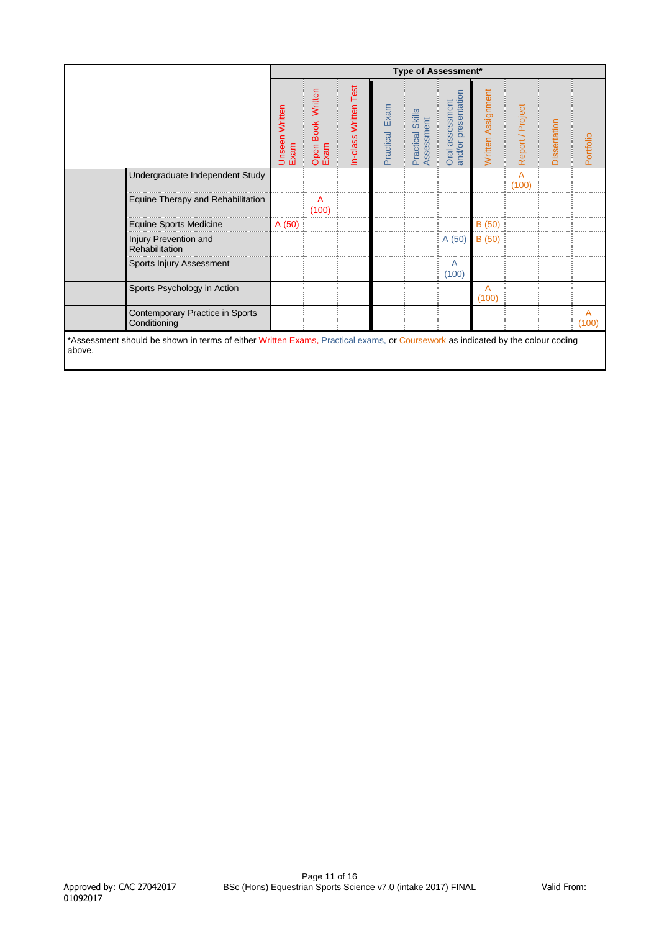|                                                                                                                                          |                        |                              |                      |                | Type of Assessment*            |                                        |                    |                  |              |                         |
|------------------------------------------------------------------------------------------------------------------------------------------|------------------------|------------------------------|----------------------|----------------|--------------------------------|----------------------------------------|--------------------|------------------|--------------|-------------------------|
|                                                                                                                                          | Unseen Written<br>Exam | Written<br>Open Book<br>Exam | n-class Written Test | Practical Exam | Practical Skills<br>Assessment | and/or presentation<br>Oral assessment | Written Assignment | Report / Project | Dissertation | Portfolio               |
| Undergraduate Independent Study                                                                                                          |                        |                              |                      |                |                                |                                        |                    | A<br>(100)       |              |                         |
| Equine Therapy and Rehabilitation                                                                                                        |                        | A<br>(100)                   |                      |                |                                |                                        |                    |                  |              |                         |
| <b>Equine Sports Medicine</b>                                                                                                            | A (50)                 |                              |                      |                |                                |                                        | B(50)              |                  |              |                         |
| Injury Prevention and<br>Rehabilitation                                                                                                  |                        |                              |                      |                |                                | A(50)                                  | B (50)             |                  |              |                         |
| Sports Injury Assessment                                                                                                                 |                        |                              |                      |                |                                | A<br>(100)                             |                    |                  |              |                         |
| Sports Psychology in Action                                                                                                              |                        |                              |                      |                |                                |                                        | A<br>(100)         |                  |              |                         |
| Contemporary Practice in Sports<br>Conditioning                                                                                          |                        |                              |                      |                |                                |                                        |                    |                  |              | $\overline{A}$<br>(100) |
| *Assessment should be shown in terms of either Written Exams, Practical exams, or Coursework as indicated by the colour coding<br>above. |                        |                              |                      |                |                                |                                        |                    |                  |              |                         |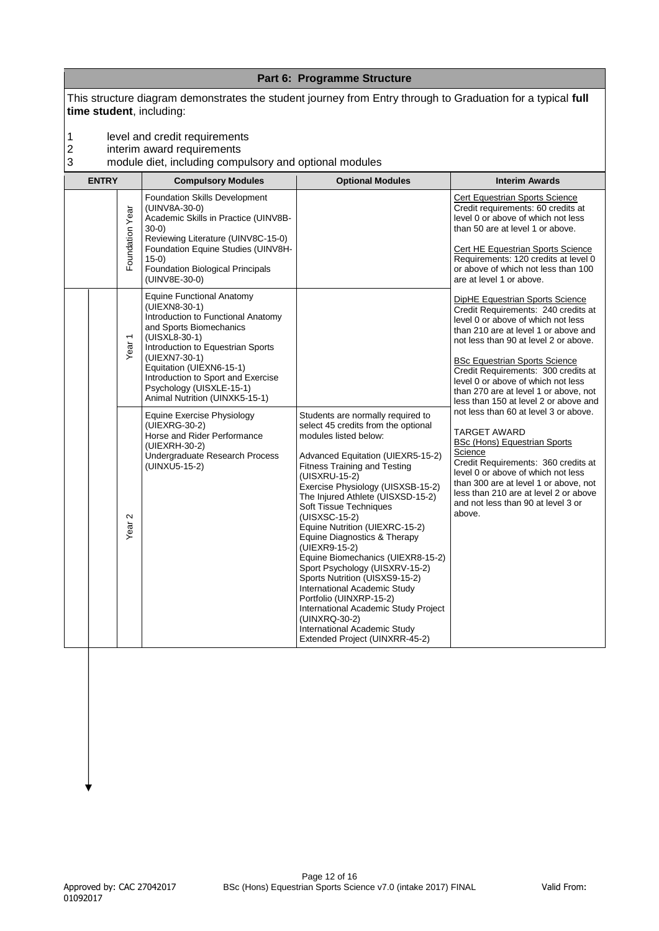|                          |                                                                                                     |                                                                                                                                                                                                                                                                                                                                                                                                                                                                                                                                                                                                                                                                                                                                                                                | Part 6: Programme Structure                                                                                                                                                                                                                                                                                                                                                                                                                                                                                                                                                                                                                                    |                                                                                                                                                                                                                                                                                                                                                                                                                                                                                                                                                                                                                                                                                                                                                                                                                                                                                                                                                                                                                                                                         |
|--------------------------|-----------------------------------------------------------------------------------------------------|--------------------------------------------------------------------------------------------------------------------------------------------------------------------------------------------------------------------------------------------------------------------------------------------------------------------------------------------------------------------------------------------------------------------------------------------------------------------------------------------------------------------------------------------------------------------------------------------------------------------------------------------------------------------------------------------------------------------------------------------------------------------------------|----------------------------------------------------------------------------------------------------------------------------------------------------------------------------------------------------------------------------------------------------------------------------------------------------------------------------------------------------------------------------------------------------------------------------------------------------------------------------------------------------------------------------------------------------------------------------------------------------------------------------------------------------------------|-------------------------------------------------------------------------------------------------------------------------------------------------------------------------------------------------------------------------------------------------------------------------------------------------------------------------------------------------------------------------------------------------------------------------------------------------------------------------------------------------------------------------------------------------------------------------------------------------------------------------------------------------------------------------------------------------------------------------------------------------------------------------------------------------------------------------------------------------------------------------------------------------------------------------------------------------------------------------------------------------------------------------------------------------------------------------|
|                          |                                                                                                     | This structure diagram demonstrates the student journey from Entry through to Graduation for a typical full<br>time student, including:                                                                                                                                                                                                                                                                                                                                                                                                                                                                                                                                                                                                                                        |                                                                                                                                                                                                                                                                                                                                                                                                                                                                                                                                                                                                                                                                |                                                                                                                                                                                                                                                                                                                                                                                                                                                                                                                                                                                                                                                                                                                                                                                                                                                                                                                                                                                                                                                                         |
| 1<br>$\overline{c}$<br>3 |                                                                                                     | level and credit requirements<br>interim award requirements<br>module diet, including compulsory and optional modules                                                                                                                                                                                                                                                                                                                                                                                                                                                                                                                                                                                                                                                          |                                                                                                                                                                                                                                                                                                                                                                                                                                                                                                                                                                                                                                                                |                                                                                                                                                                                                                                                                                                                                                                                                                                                                                                                                                                                                                                                                                                                                                                                                                                                                                                                                                                                                                                                                         |
|                          | <b>ENTRY</b><br>Foundation Year<br>$\overline{ }$<br>Year<br>$\mathbf{\Omega}$<br>Year <sup>-</sup> | <b>Compulsory Modules</b><br><b>Foundation Skills Development</b><br>(UINV8A-30-0)<br>Academic Skills in Practice (UINV8B-<br>$30-0)$<br>Reviewing Literature (UINV8C-15-0)<br>Foundation Equine Studies (UINV8H-<br>$15-0)$<br><b>Foundation Biological Principals</b><br>(UINV8E-30-0)<br><b>Equine Functional Anatomy</b><br>(UIEXN8-30-1)<br>Introduction to Functional Anatomy<br>and Sports Biomechanics<br>(UISXL8-30-1)<br>Introduction to Equestrian Sports<br>(UIEXN7-30-1)<br>Equitation (UIEXN6-15-1)<br>Introduction to Sport and Exercise<br>Psychology (UISXLE-15-1)<br>Animal Nutrition (UINXK5-15-1)<br><b>Equine Exercise Physiology</b><br>(UIEXRG-30-2)<br>Horse and Rider Performance<br>(UIEXRH-30-2)<br>Undergraduate Research Process<br>(UINXU5-15-2) | <b>Optional Modules</b><br>Students are normally required to<br>select 45 credits from the optional<br>modules listed below:<br>Advanced Equitation (UIEXR5-15-2)<br><b>Fitness Training and Testing</b><br>(UISXRU-15-2)<br>Exercise Physiology (UISXSB-15-2)<br>The Injured Athlete (UISXSD-15-2)<br>Soft Tissue Techniques<br>(UISXSC-15-2)<br>Equine Nutrition (UIEXRC-15-2)<br>Equine Diagnostics & Therapy<br>(UIEXR9-15-2)<br>Equine Biomechanics (UIEXR8-15-2)<br>Sport Psychology (UISXRV-15-2)<br>Sports Nutrition (UISXS9-15-2)<br>International Academic Study<br>Portfolio (UINXRP-15-2)<br>International Academic Study Project<br>(UINXRQ-30-2) | <b>Interim Awards</b><br>Cert Equestrian Sports Science<br>Credit requirements: 60 credits at<br>level 0 or above of which not less<br>than 50 are at level 1 or above.<br><b>Cert HE Equestrian Sports Science</b><br>Requirements: 120 credits at level 0<br>or above of which not less than 100<br>are at level 1 or above.<br>DipHE Equestrian Sports Science<br>Credit Requirements: 240 credits at<br>level 0 or above of which not less<br>than 210 are at level 1 or above and<br>not less than 90 at level 2 or above.<br><b>BSc Equestrian Sports Science</b><br>Credit Requirements: 300 credits at<br>level 0 or above of which not less<br>than 270 are at level 1 or above, not<br>less than 150 at level 2 or above and<br>not less than 60 at level 3 or above.<br><b>TARGET AWARD</b><br><b>BSc (Hons) Equestrian Sports</b><br>Science<br>Credit Requirements: 360 credits at<br>level 0 or above of which not less<br>than 300 are at level 1 or above, not<br>less than 210 are at level 2 or above<br>and not less than 90 at level 3 or<br>above. |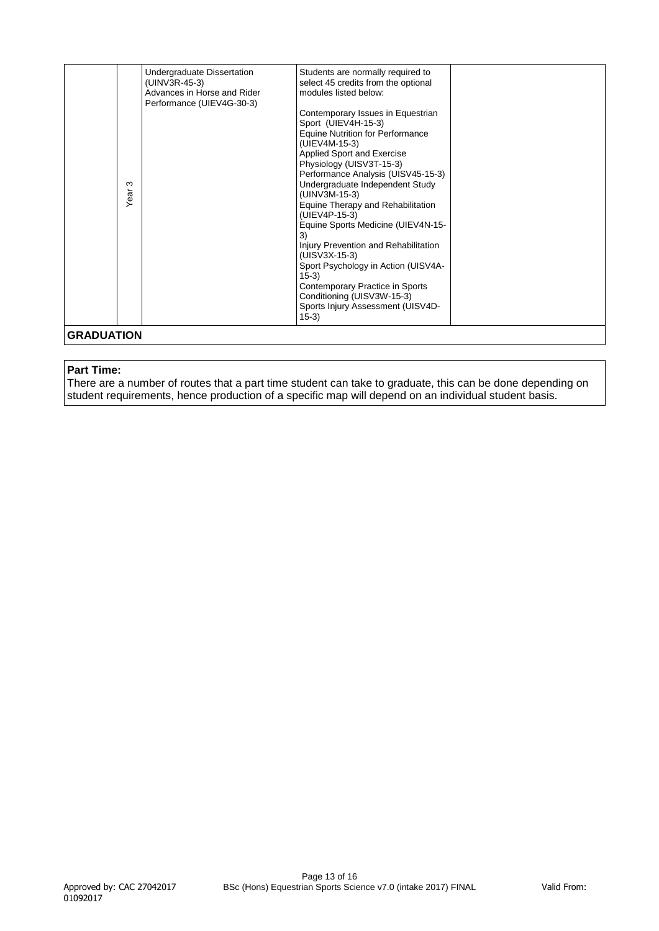| <b>GRADUATION</b> | Undergraduate Dissertation<br>Students are normally required to<br>select 45 credits from the optional<br>(UINV3R-45-3)<br>Advances in Horse and Rider<br>modules listed below:<br>Performance (UIEV4G-30-3)<br>Contemporary Issues in Equestrian<br>Sport (UIEV4H-15-3)<br><b>Equine Nutrition for Performance</b><br>(UIEV4M-15-3)<br>Applied Sport and Exercise<br>Physiology (UISV3T-15-3)<br>Performance Analysis (UISV45-15-3)<br>Undergraduate Independent Study<br>ო<br>Year<br>(UINV3M-15-3)<br>Equine Therapy and Rehabilitation<br>(UIEV4P-15-3)<br>Equine Sports Medicine (UIEV4N-15-<br>3)<br>Injury Prevention and Rehabilitation<br>(UISV3X-15-3)<br>Sport Psychology in Action (UISV4A-<br>$15-3)$<br>Contemporary Practice in Sports<br>Conditioning (UISV3W-15-3)<br>Sports Injury Assessment (UISV4D-<br>$(15-3)$ |
|-------------------|--------------------------------------------------------------------------------------------------------------------------------------------------------------------------------------------------------------------------------------------------------------------------------------------------------------------------------------------------------------------------------------------------------------------------------------------------------------------------------------------------------------------------------------------------------------------------------------------------------------------------------------------------------------------------------------------------------------------------------------------------------------------------------------------------------------------------------------|
|-------------------|--------------------------------------------------------------------------------------------------------------------------------------------------------------------------------------------------------------------------------------------------------------------------------------------------------------------------------------------------------------------------------------------------------------------------------------------------------------------------------------------------------------------------------------------------------------------------------------------------------------------------------------------------------------------------------------------------------------------------------------------------------------------------------------------------------------------------------------|

#### **Part Time:**

There are a number of routes that a part time student can take to graduate, this can be done depending on student requirements, hence production of a specific map will depend on an individual student basis.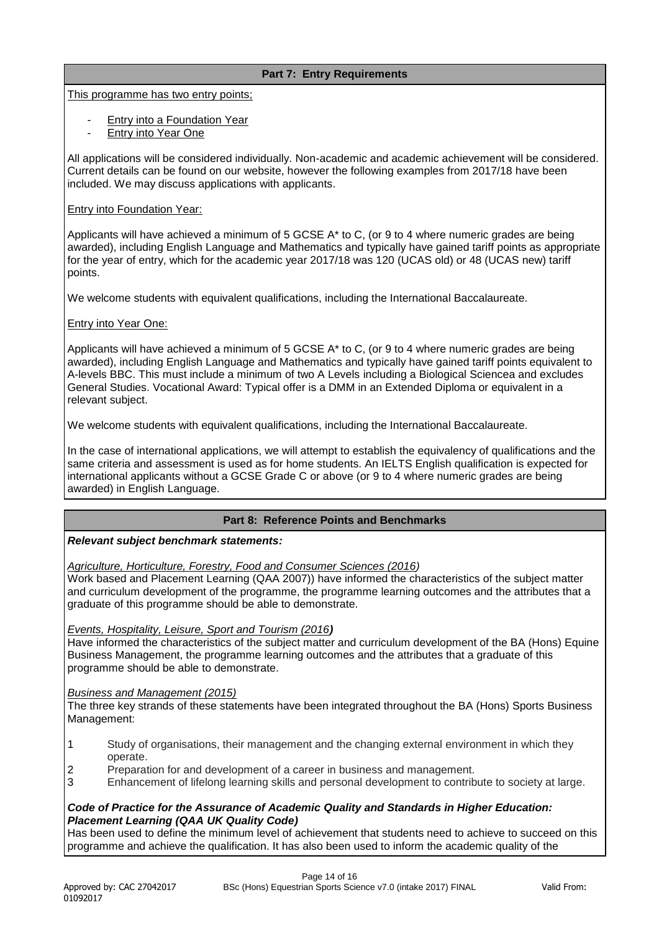# **Part 7: Entry Requirements**

This programme has two entry points;

- Entry into a Foundation Year
- **Entry into Year One**

All applications will be considered individually. Non-academic and academic achievement will be considered. Current details can be found on our website, however the following examples from 2017/18 have been included. We may discuss applications with applicants.

#### Entry into Foundation Year:

Applicants will have achieved a minimum of 5 GCSE A\* to C, (or 9 to 4 where numeric grades are being awarded), including English Language and Mathematics and typically have gained tariff points as appropriate for the year of entry, which for the academic year 2017/18 was 120 (UCAS old) or 48 (UCAS new) tariff points.

We welcome students with equivalent qualifications, including the International Baccalaureate.

# Entry into Year One:

Applicants will have achieved a minimum of 5 GCSE A<sup>\*</sup> to C, (or 9 to 4 where numeric grades are being awarded), including English Language and Mathematics and typically have gained tariff points equivalent to A-levels BBC. This must include a minimum of two A Levels including a Biological Sciencea and excludes General Studies. Vocational Award: Typical offer is a DMM in an Extended Diploma or equivalent in a relevant subject.

We welcome students with equivalent qualifications, including the International Baccalaureate.

In the case of international applications, we will attempt to establish the equivalency of qualifications and the same criteria and assessment is used as for home students. An IELTS English qualification is expected for international applicants without a GCSE Grade C or above (or 9 to 4 where numeric grades are being awarded) in English Language.

# **Part 8: Reference Points and Benchmarks**

# *Relevant subject benchmark statements:*

*Agriculture, Horticulture, Forestry, Food and Consumer Sciences (2016)* 

Work based and Placement Learning (QAA 2007)) have informed the characteristics of the subject matter and curriculum development of the programme, the programme learning outcomes and the attributes that a graduate of this programme should be able to demonstrate.

# *Events, Hospitality, Leisure, Sport and Tourism (2016)*

Have informed the characteristics of the subject matter and curriculum development of the BA (Hons) Equine Business Management, the programme learning outcomes and the attributes that a graduate of this programme should be able to demonstrate.

#### *Business and Management (2015)*

The three key strands of these statements have been integrated throughout the BA (Hons) Sports Business Management:

- 1 Study of organisations, their management and the changing external environment in which they operate.
- 2 Preparation for and development of a career in business and management.
- 3 Enhancement of lifelong learning skills and personal development to contribute to society at large.

# *Code of Practice for the Assurance of Academic Quality and Standards in Higher Education: Placement Learning (QAA UK Quality Code)*

Has been used to define the minimum level of achievement that students need to achieve to succeed on this programme and achieve the qualification. It has also been used to inform the academic quality of the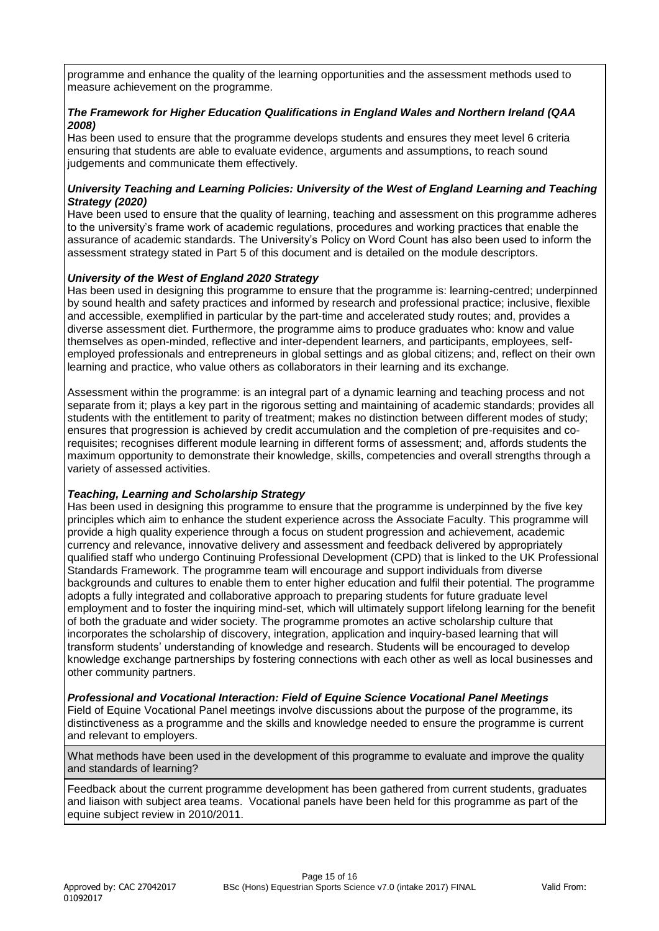programme and enhance the quality of the learning opportunities and the assessment methods used to measure achievement on the programme.

# **The Framework for Higher Education Qualifications in England Wales and Northern Ireland (Q** *2008)*

Has been used to ensure that the programme develops students and ensures they meet level 6 criteria ensuring that students are able to evaluate evidence, arguments and assumptions, to reach sound judgements and communicate them effectively.

# *University Teaching and Learning Policies: University of the West of England Learning and Teaching Strategy (2020)*

Have been used to ensure that the quality of learning, teaching and assessment on this programme adheres to the university's frame work of academic regulations, procedures and working practices that enable the assurance of academic standards. The University's Policy on Word Count has also been used to inform the assessment strategy stated in Part 5 of this document and is detailed on the module descriptors.

# *University of the West of England 2020 Strategy*

Has been used in designing this programme to ensure that the programme is: learning-centred; underpinned by sound health and safety practices and informed by research and professional practice; inclusive, flexible and accessible, exemplified in particular by the part-time and accelerated study routes; and, provides a diverse assessment diet. Furthermore, the programme aims to produce graduates who: know and value themselves as open-minded, reflective and inter-dependent learners, and participants, employees, selfemployed professionals and entrepreneurs in global settings and as global citizens; and, reflect on their own learning and practice, who value others as collaborators in their learning and its exchange.

Assessment within the programme: is an integral part of a dynamic learning and teaching process and not separate from it; plays a key part in the rigorous setting and maintaining of academic standards; provides all students with the entitlement to parity of treatment; makes no distinction between different modes of study; ensures that progression is achieved by credit accumulation and the completion of pre-requisites and corequisites; recognises different module learning in different forms of assessment; and, affords students the maximum opportunity to demonstrate their knowledge, skills, competencies and overall strengths through a variety of assessed activities.

# *Teaching, Learning and Scholarship Strategy*

Has been used in designing this programme to ensure that the programme is underpinned by the five key principles which aim to enhance the student experience across the Associate Faculty. This programme will provide a high quality experience through a focus on student progression and achievement, academic currency and relevance, innovative delivery and assessment and feedback delivered by appropriately qualified staff who undergo Continuing Professional Development (CPD) that is linked to the UK Professional Standards Framework. The programme team will encourage and support individuals from diverse backgrounds and cultures to enable them to enter higher education and fulfil their potential. The programme adopts a fully integrated and collaborative approach to preparing students for future graduate level employment and to foster the inquiring mind-set, which will ultimately support lifelong learning for the benefit of both the graduate and wider society. The programme promotes an active scholarship culture that incorporates the scholarship of discovery, integration, application and inquiry-based learning that will transform students' understanding of knowledge and research. Students will be encouraged to develop knowledge exchange partnerships by fostering connections with each other as well as local businesses and other community partners.

# *Professional and Vocational Interaction: Field of Equine Science Vocational Panel Meetings*

Field of Equine Vocational Panel meetings involve discussions about the purpose of the programme, its distinctiveness as a programme and the skills and knowledge needed to ensure the programme is current and relevant to employers.

What methods have been used in the development of this programme to evaluate and improve the quality and standards of learning?

Feedback about the current programme development has been gathered from current students, graduates and liaison with subject area teams. Vocational panels have been held for this programme as part of the equine subject review in 2010/2011.